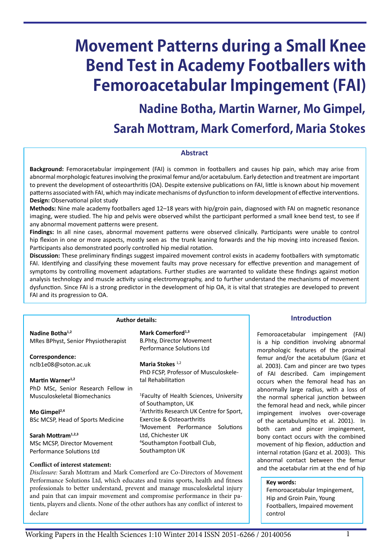# **Movement Patterns during a Small Knee Bend Test in Academy Footballers with Femoroacetabular Impingement (FAI)**

**Nadine Botha, Martin Warner, Mo Gimpel,** 

**Sarah Mottram, Mark Comerford, Maria Stokes**

#### **Abstract**

**Background:** Femoracetabular impingement (FAI) is common in footballers and causes hip pain, which may arise from abnormal morphologic features involving the proximal femur and/or acetabulum. Early detection and treatment are important to prevent the development of osteoarthritis (OA). Despite extensive publications on FAI, little is known about hip movement patterns associated with FAI, which may indicate mechanisms of dysfunction to inform development of effective interventions. **Design:** Observational pilot study

**Methods:** Nine male academy footballers aged 12–18 years with hip/groin pain, diagnosed with FAI on magnetic resonance imaging, were studied. The hip and pelvis were observed whilst the participant performed a small knee bend test, to see if any abnormal movement patterns were present.

**Findings:** In all nine cases, abnormal movement patterns were observed clinically. Participants were unable to control hip flexion in one or more aspects, mostly seen as the trunk leaning forwards and the hip moving into increased flexion. Participants also demonstrated poorly controlled hip medial rotation.

**Discussion:** These preliminary findings suggest impaired movement control exists in academy footballers with symptomatic FAI. Identifying and classifying these movement faults may prove necessary for effective prevention and management of symptoms by controlling movement adaptations. Further studies are warranted to validate these findings against motion analysis technology and muscle activity using electromyography, and to further understand the mechanisms of movement dysfunction. Since FAI is a strong predictor in the development of hip OA, it is vital that strategies are developed to prevent FAI and its progression to OA.

|                                     | Author details:                                      |
|-------------------------------------|------------------------------------------------------|
| Nadine Botha <sup>1,2</sup>         | Mark Comerford <sup>1,3</sup>                        |
| MRes BPhyst, Senior Physiotherapist | B.Phty, Director Movement                            |
|                                     | Performance Solutions Ltd                            |
| Correspondence:                     |                                                      |
| nclb1e08@soton.ac.uk                | Maria Stokes $1,2$                                   |
|                                     | PhD FCSP, Professor of Musculoskele-                 |
| Martin Warner <sup>1,2</sup>        | tal Rehabilitation                                   |
| PhD MSc, Senior Research Fellow in  |                                                      |
| Musculoskeletal Biomechanics        | <sup>1</sup> Faculty of Health Sciences, University  |
|                                     | of Southampton, UK                                   |
| Mo Gimpel $^{2,4}$                  | <sup>2</sup> Arthritis Research UK Centre for Sport, |
| BSc MCSP, Head of Sports Medicine   | Exercise & Osteoarthritis                            |
|                                     | <sup>3</sup> Movement Performance Solutions          |
| Sarah Mottram <sup>1,2,3</sup>      | Ltd, Chichester UK                                   |
| MSc MCSP, Director Movement         | <sup>4</sup> Southampton Football Club,              |
| Performance Solutions Ltd           | Southampton UK                                       |
| Conflict of interest statement:     |                                                      |

*Disclosure:* Sarah Mottram and Mark Comerford are Co-Directors of Movement Performance Solutions Ltd, which educates and trains sports, health and fitness professionals to better understand, prevent and manage musculoskeletal injury and pain that can impair movement and compromise performance in their patients, players and clients. None of the other authors has any conflict of interest to declare

# **Introduction**

Femoroacetabular impingement (FAI) is a hip condition involving abnormal morphologic features of the proximal femur and/or the acetabulum (Ganz et al. 2003). Cam and pincer are two types of FAI described. Cam impingement occurs when the femoral head has an abnormally large radius, with a loss of the normal spherical junction between the femoral head and neck, while pincer impingement involves over-coverage of the acetabulum(Ito et al. 2001). In both cam and pincer impingement, bony contact occurs with the combined movement of hip flexion, adduction and internal rotation (Ganz et al. 2003). This abnormal contact between the femur and the acetabular rim at the end of hip

#### **Key words:**

Femoroacetabular Impingement, Hip and Groin Pain, Young Footballers, Impaired movement control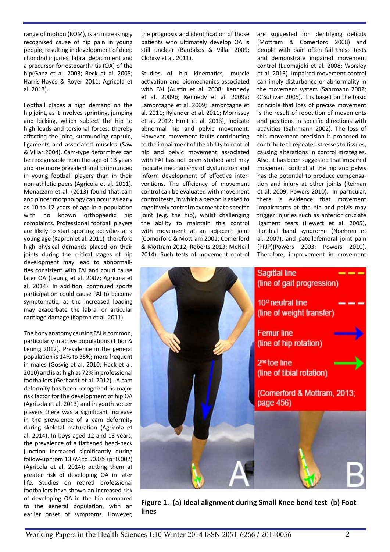range of motion (ROM), is an increasingly recognised cause of hip pain in young people, resulting in development of deep chondral injuries, labral detachment and a precursor for osteoarthritis (OA) of the hip(Ganz et al. 2003; Beck et al. 2005; Harris-Hayes & Royer 2011; Agricola et al. 2013).

Football places a high demand on the hip joint, as it involves sprinting, jumping and kicking, which subject the hip to high loads and torsional forces; thereby affecting the joint, surrounding capsule, ligaments and associated muscles (Saw & Villar 2004). Cam-type deformities can be recognisable from the age of 13 years and are more prevalent and pronounced in young football players than in their non-athletic peers (Agricola et al. 2011). Monazzam et al. (2013) found that cam and pincer morphology can occur as early as 10 to 12 years of age in a population with no known orthopaedic hip complaints. Professional football players are likely to start sporting activities at a young age (Kapron et al. 2011), therefore high physical demands placed on their joints during the critical stages of hip development may lead to abnormalities consistent with FAI and could cause later OA (Leunig et al. 2007; Agricola et al. 2014). In addition, continued sports participation could cause FAI to become symptomatic, as the increased loading may exacerbate the labral or articular cartilage damage (Kapron et al. 2011).

The bony anatomy causing FAI is common, particularly in active populations (Tibor & Leunig 2012). Prevalence in the general population is 14% to 35%; more frequent in males (Gosvig et al. 2010; Hack et al. 2010) and is as high as 72% in professional footballers (Gerhardt et al. 2012). A cam deformity has been recognized as major risk factor for the development of hip OA (Agricola et al. 2013) and in youth soccer players there was a significant increase in the prevalence of a cam deformity during skeletal maturation (Agricola et al. 2014). In boys aged 12 and 13 years, the prevalence of a flattened head-neck junction increased significantly during follow-up from 13.6% to 50.0% (p=0.002) (Agricola et al. 2014); putting them at greater risk of developing OA in later life. Studies on retired professional footballers have shown an increased risk of developing OA in the hip compared to the general population, with an earlier onset of symptoms. However,

the prognosis and identification of those patients who ultimately develop OA is still unclear (Bardakos & Villar 2009; Clohisy et al. 2011).

Studies of hip kinematics, muscle activation and biomechanics associated with FAI (Austin et al. 2008; Kennedy et al. 2009b; Kennedy et al. 2009a; Lamontagne et al. 2009; Lamontagne et al. 2011; Rylander et al. 2011; Morrissey et al. 2012; Hunt et al. 2013), indicate abnormal hip and pelvic movement. However, movement faults contributing to the impairment of the ability to control hip and pelvic movement associated with FAI has not been studied and may indicate mechanisms of dysfunction and inform development of effective interventions. The efficiency of movement control can be evaluated with movement control tests, in which a person is asked to cognitively control movement at a specific joint (e.g. the hip), whilst challenging the ability to maintain this control with movement at an adjacent joint (Comerford & Mottram 2001; Comerford & Mottram 2012; Roberts 2013; McNeill 2014). Such tests of movement control

are suggested for identifying deficits (Mottram & Comerford 2008) and people with pain often fail these tests and demonstrate impaired movement control (Luomajoki et al. 2008; Worsley et al. 2013). Impaired movement control can imply disturbance or abnormality in the movement system (Sahrmann 2002; O'Sullivan 2005). It is based on the basic principle that loss of precise movement is the result of repetition of movements and positions in specific directions with activities (Sahrmann 2002). The loss of this movement precision is proposed to contribute to repeated stresses to tissues, causing alterations in control strategies. Also, it has been suggested that impaired movement control at the hip and pelvis has the potential to produce compensation and injury at other joints (Reiman et al. 2009; Powers 2010). In particular, there is evidence that movement impairments at the hip and pelvis may trigger injuries such as anterior cruciate ligament tears (Hewett et al. 2005), iliotibial band syndrome (Noehren et al. 2007), and patellofemoral joint pain (PFJP)(Powers 2003; Powers 2010). Therefore, improvement in movement



**Figure 1. (a) Ideal alignment during Small Knee bend test (b) Foot lines**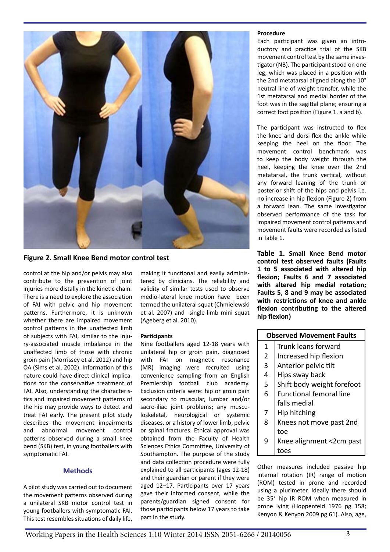

# **Figure 2. Small Knee Bend motor control test**

control at the hip and/or pelvis may also contribute to the prevention of joint injuries more distally in the kinetic chain. There is a need to explore the association of FAI with pelvic and hip movement patterns. Furthermore, it is unknown whether there are impaired movement control patterns in the unaffected limb of subjects with FAI, similar to the injury-associated muscle imbalance in the unaffected limb of those with chronic groin pain (Morrissey et al. 2012) and hip OA (Sims et al. 2002). Information of this nature could have direct clinical implications for the conservative treatment of FAI. Also, understanding the characteristics and impaired movement patterns of the hip may provide ways to detect and treat FAI early. The present pilot study describes the movement impairments and abnormal movement control patterns observed during a small knee bend (SKB) test, in young footballers with symptomatic FAI.

## **Methods**

A pilot study was carried out to document the movement patterns observed during a unilateral SKB motor control test in young footballers with symptomatic FAI. This test resembles situations of daily life,

making it functional and easily administered by clinicians. The reliability and validity of similar tests used to observe medio-lateral knee motion have been termed the unilateral squat (Chmielewski et al. 2007) and single-limb mini squat (Ageberg et al. 2010).

#### **Participants**

Nine footballers aged 12-18 years with unilateral hip or groin pain, diagnosed with FAI on magnetic resonance (MR) imaging were recruited using convenience sampling from an English Premiership football club academy. Exclusion criteria were: hip or groin pain secondary to muscular, lumbar and/or sacro-iliac joint problems; any musculoskeletal, neurological or systemic diseases, or a history of lower limb, pelvic or spinal fractures. Ethical approval was obtained from the Faculty of Health Sciences Ethics Committee, University of Southampton. The purpose of the study and data collection procedure were fully explained to all participants (ages 12-18) and their guardian or parent if they were aged 12–17. Participants over 17 years gave their informed consent, while the parents/guardian signed consent for those participants below 17 years to take part in the study.

#### **Procedure**

Each participant was given an introductory and practice trial of the SKB movement control test by the same investigator (NB). The participant stood on one leg, which was placed in a position with the 2nd metatarsal aligned along the 10° neutral line of weight transfer, while the 1st metatarsal and medial border of the foot was in the sagittal plane; ensuring a correct foot position (Figure 1. a and b).

The participant was instructed to flex the knee and dorsi-flex the ankle while keeping the heel on the floor. The movement control benchmark was to keep the body weight through the heel, keeping the knee over the 2nd metatarsal, the trunk vertical, without any forward leaning of the trunk or posterior shift of the hips and pelvis i.e. no increase in hip flexion (Figure 2) from a forward lean. The same investigator observed performance of the task for impaired movement control patterns and movement faults were recorded as listed in Table 1.

**Table 1. Small Knee Bend motor control test observed faults (Faults 1 to 5 associated with altered hip flexion; Faults 6 and 7 associated with altered hip medial rotation; Faults 5, 8 and 9 may be associated with restrictions of knee and ankle flexion contributing to the altered hip flexion)**

| <b>Observed Movement Faults</b> |                                |  |  |
|---------------------------------|--------------------------------|--|--|
| 1                               | Trunk leans forward            |  |  |
| $\overline{2}$                  | Increased hip flexion          |  |  |
| 3                               | Anterior pelvic tilt           |  |  |
| 4                               | Hips sway back                 |  |  |
| 5                               | Shift body weight forefoot     |  |  |
| 6                               | <b>Functional femoral line</b> |  |  |
|                                 | falls medial                   |  |  |
| $\overline{7}$                  | Hip hitching                   |  |  |
| 8                               | Knees not move past 2nd        |  |  |
|                                 | toe                            |  |  |
| 9                               | Knee alignment <2cm past       |  |  |
|                                 | toes                           |  |  |
|                                 |                                |  |  |

Other measures included passive hip internal rotation (IR) range of motion (ROM) tested in prone and recorded using a plurimeter. Ideally there should be 35° hip IR ROM when measured in prone lying (Hoppenfeld 1976 pg 158; Kenyon & Kenyon 2009 pg 61). Also, age,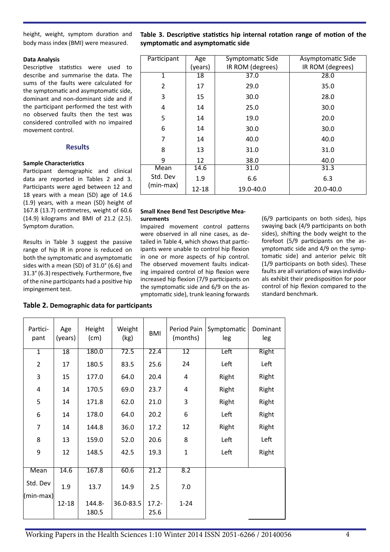height, weight, symptom duration and body mass index (BMI) were measured.

## **Data Analysis**

Descriptive statistics were used to describe and summarise the data. The sums of the faults were calculated for the symptomatic and asymptomatic side, dominant and non-dominant side and if the participant performed the test with no observed faults then the test was considered controlled with no impaired movement control.

# **Results**

#### **Sample Characteristics**

Participant demographic and clinical data are reported in Tables 2 and 3. Participants were aged between 12 and 18 years with a mean (SD) age of 14.6 (1.9) years, with a mean (SD) height of 167.8 (13.7) centimetres, weight of 60.6 (14.9) kilograms and BMI of 21.2 (2.5). Symptom duration.

Results in Table 3 suggest the passive range of hip IR in prone is reduced on both the symptomatic and asymptomatic sides with a mean (SD) of 31.0° (6.6) and 31.3° (6.3) respectively. Furthermore, five of the nine participants had a positive hip impingement test.

**Table 3. Descriptive statistics hip internal rotation range of motion of the symptomatic and asymptomatic side**

| Participant  | Age       | Symptomatic Side | Asymptomatic Side |
|--------------|-----------|------------------|-------------------|
|              | (years)   | IR ROM (degrees) | IR ROM (degrees)  |
| $\mathbf{1}$ | 18        | 37.0             | 28.0              |
| 2            | 17        | 29.0             | 35.0              |
| 3            | 15        | 30.0             | 28.0              |
| 4            | 14        | 25.0             | 30.0              |
| 5            | 14        | 19.0             | 20.0              |
| 6            | 14        | 30.0             | 30.0              |
| 7            | 14        | 40.0             | 40.0              |
| 8            | 13        | 31.0             | 31.0              |
| 9            | 12        | 38.0             | 40.0              |
| Mean         | 14.6      | 31.0             | 31.3              |
| Std. Dev     | 1.9       | 6.6              | 6.3               |
| (min-max)    | $12 - 18$ | 19.0-40.0        | 20.0-40.0         |

#### **Small Knee Bend Test Descriptive Measurements**

Impaired movement control patterns were observed in all nine cases, as detailed in Table 4, which shows that participants were unable to control hip flexion in one or more aspects of hip control. The observed movement faults indicating impaired control of hip flexion were increased hip flexion (7/9 participants on the symptomatic side and 6/9 on the asymptomatic side), trunk leaning forwards (6/9 participants on both sides), hips swaying back (4/9 participants on both sides), shifting the body weight to the forefoot (5/9 participants on the asymptomatic side and 4/9 on the symptomatic side) and anterior pelvic tilt (1/9 participants on both sides). These faults are all variations of ways individuals exhibit their predisposition for poor control of hip flexion compared to the standard benchmark.

# **Table 2. Demographic data for participants**

| Partici-<br>pant | Age<br>(years)  | Height<br>(cm)  | Weight<br>(kg) | <b>BMI</b>        | Period Pain<br>(months) | Symptomatic<br>leg | Dominant<br>leg |
|------------------|-----------------|-----------------|----------------|-------------------|-------------------------|--------------------|-----------------|
| $\mathbf{1}$     | $\overline{18}$ | 180.0           | 72.5           | 22.4              | $\overline{12}$         | Left               | <b>Right</b>    |
| $\overline{2}$   | 17              | 180.5           | 83.5           | 25.6              | 24                      | Left               | Left            |
| 3                | 15              | 177.0           | 64.0           | 20.4              | 4                       | Right              | Right           |
| 4                | 14              | 170.5           | 69.0           | 23.7              | 4                       | Right              | Right           |
| 5                | 14              | 171.8           | 62.0           | 21.0              | 3                       | Right              | Right           |
| 6                | 14              | 178.0           | 64.0           | 20.2              | 6                       | Left               | Right           |
| $\overline{7}$   | 14              | 144.8           | 36.0           | 17.2              | 12                      | Right              | Right           |
| 8                | 13              | 159.0           | 52.0           | 20.6              | 8                       | Left               | Left            |
| 9                | 12              | 148.5           | 42.5           | 19.3              | $\mathbf{1}$            | Left               | Right           |
|                  |                 |                 |                |                   |                         |                    |                 |
| <b>Mean</b>      | 14.6            | 167.8           | 60.6           | $\overline{21.2}$ | 8.2                     |                    |                 |
| Std. Dev         | 1.9             | 13.7            | 14.9           | 2.5               | 7.0                     |                    |                 |
| (min-max)        |                 |                 |                |                   |                         |                    |                 |
|                  | 12-18           | 144.8-<br>180.5 | 36.0-83.5      | $17.2 -$<br>25.6  | $1 - 24$                |                    |                 |
|                  |                 |                 |                |                   |                         |                    |                 |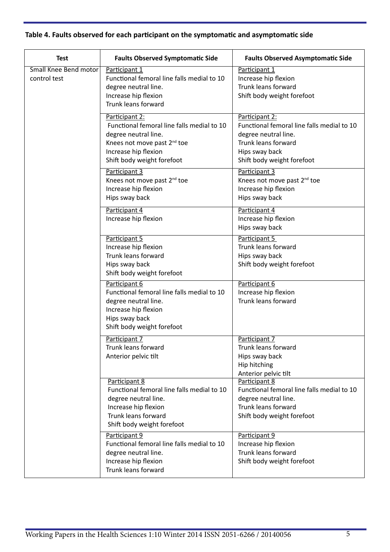# **Table 4. Faults observed for each participant on the symptomatic and asymptomatic side**

| <b>Test</b>                  | <b>Faults Observed Symptomatic Side</b>     | <b>Faults Observed Asymptomatic Side</b>   |
|------------------------------|---------------------------------------------|--------------------------------------------|
| <b>Small Knee Bend motor</b> | Participant 1                               | Participant 1                              |
| control test                 | Functional femoral line falls medial to 10  | Increase hip flexion                       |
|                              | degree neutral line.                        | Trunk leans forward                        |
|                              | Increase hip flexion<br>Trunk leans forward | Shift body weight forefoot                 |
|                              |                                             |                                            |
|                              | Participant 2:                              | Participant 2:                             |
|                              | Functional femoral line falls medial to 10  | Functional femoral line falls medial to 10 |
|                              | degree neutral line.                        | degree neutral line.                       |
|                              | Knees not move past 2 <sup>nd</sup> toe     | Trunk leans forward                        |
|                              | Increase hip flexion                        | Hips sway back                             |
|                              | Shift body weight forefoot                  | Shift body weight forefoot                 |
|                              | Participant 3                               | Participant 3                              |
|                              | Knees not move past 2 <sup>nd</sup> toe     | Knees not move past 2 <sup>nd</sup> toe    |
|                              | Increase hip flexion                        | Increase hip flexion                       |
|                              | Hips sway back                              | Hips sway back                             |
|                              | Participant 4                               | Participant 4                              |
|                              | Increase hip flexion                        | Increase hip flexion                       |
|                              |                                             | Hips sway back                             |
|                              | Participant 5                               | Participant 5                              |
|                              | Increase hip flexion                        | Trunk leans forward                        |
|                              | Trunk leans forward                         | Hips sway back                             |
|                              | Hips sway back                              | Shift body weight forefoot                 |
|                              | Shift body weight forefoot                  |                                            |
|                              | Participant 6                               | Participant 6                              |
|                              | Functional femoral line falls medial to 10  | Increase hip flexion                       |
|                              | degree neutral line.                        | Trunk leans forward                        |
|                              | Increase hip flexion<br>Hips sway back      |                                            |
|                              | Shift body weight forefoot                  |                                            |
|                              |                                             |                                            |
|                              | Participant 7                               | Participant 7                              |
|                              | Trunk leans forward                         | Trunk leans forward                        |
|                              | Anterior pelvic tilt                        | Hips sway back                             |
|                              |                                             | Hip hitching<br>Anterior pelvic tilt       |
|                              | Participant 8                               | Participant 8                              |
|                              | Functional femoral line falls medial to 10  | Functional femoral line falls medial to 10 |
|                              | degree neutral line.                        | degree neutral line.                       |
|                              | Increase hip flexion                        | Trunk leans forward                        |
|                              | Trunk leans forward                         | Shift body weight forefoot                 |
|                              | Shift body weight forefoot                  |                                            |
|                              | Participant 9                               | Participant 9                              |
|                              | Functional femoral line falls medial to 10  | Increase hip flexion                       |
|                              | degree neutral line.                        | Trunk leans forward                        |
|                              | Increase hip flexion                        | Shift body weight forefoot                 |
|                              | Trunk leans forward                         |                                            |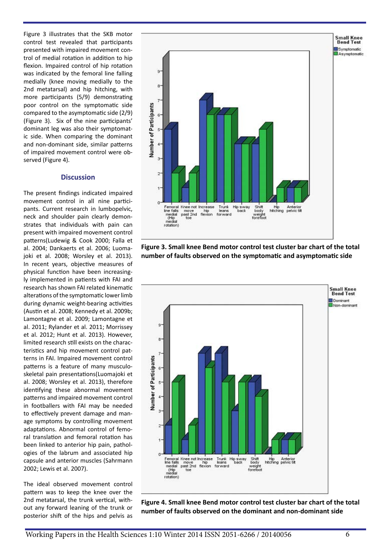Figure 3 illustrates that the SKB motor control test revealed that participants presented with impaired movement control of medial rotation in addition to hip flexion. Impaired control of hip rotation was indicated by the femoral line falling medially (knee moving medially to the 2nd metatarsal) and hip hitching, with more participants (5/9) demonstrating poor control on the symptomatic side compared to the asymptomatic side (2/9) (Figure 3). Six of the nine participants' dominant leg was also their symptomatic side. When comparing the dominant and non-dominant side, similar patterns of impaired movement control were observed (Figure 4).

#### **Discussion**

The present findings indicated impaired movement control in all nine participants. Current research in lumbopelvic, neck and shoulder pain clearly demonstrates that individuals with pain can present with impaired movement control patterns(Ludewig & Cook 2000; Falla et al. 2004; Dankaerts et al. 2006; Luomajoki et al. 2008; Worsley et al. 2013). In recent years, objective measures of physical function have been increasingly implemented in patients with FAI and research has shown FAI related kinematic alterations of the symptomatic lower limb during dynamic weight-bearing activities (Austin et al. 2008; Kennedy et al. 2009b; Lamontagne et al. 2009; Lamontagne et al. 2011; Rylander et al. 2011; Morrissey et al. 2012; Hunt et al. 2013). However, limited research still exists on the characteristics and hip movement control patterns in FAI. Impaired movement control patterns is a feature of many musculoskeletal pain presentations(Luomajoki et al. 2008; Worsley et al. 2013), therefore identifying these abnormal movement patterns and impaired movement control in footballers with FAI may be needed to effectively prevent damage and manage symptoms by controlling movement adaptations. Abnormal control of femoral translation and femoral rotation has been linked to anterior hip pain, pathologies of the labrum and associated hip capsule and anterior muscles (Sahrmann 2002; Lewis et al. 2007).

The ideal observed movement control pattern was to keep the knee over the 2nd metatarsal, the trunk vertical, without any forward leaning of the trunk or posterior shift of the hips and pelvis as



**Figure 3. Small knee Bend motor control test cluster bar chart of the total number of faults observed on the symptomatic and asymptomatic side**



**Figure 4. Small knee Bend motor control test cluster bar chart of the total number of faults observed on the dominant and non-dominant side**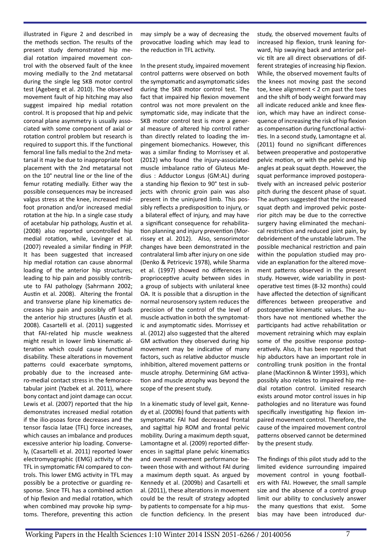illustrated in Figure 2 and described in the methods section. The results of the present study demonstrated hip medial rotation impaired movement control with the observed fault of the knee moving medially to the 2nd metatarsal during the single leg SKB motor control test (Ageberg et al. 2010). The observed movement fault of hip hitching may also suggest impaired hip medial rotation control. It is proposed that hip and pelvic coronal plane asymmetry is usually associated with some component of axial or rotation control problem but research is required to support this. If the functional femoral line falls medial to the 2nd metatarsal it may be due to inappropriate foot placement with the 2nd metatarsal not on the 10° neutral line or the line of the femur rotating medially. Either way the possible consequences may be increased valgus stress at the knee, increased midfoot pronation and/or increased medial rotation at the hip. In a single case study of acetabular hip pathology, Austin et al. (2008) also reported uncontrolled hip medial rotation, while, Levinger et al. (2007) revealed a similar finding in PFJP. It has been suggested that increased hip medial rotation can cause abnormal loading of the anterior hip structures; leading to hip pain and possibly contribute to FAI pathology (Sahrmann 2002; Austin et al. 2008). Altering the frontal and transverse plane hip kinematics decreases hip pain and possibly off loads the anterior hip structures (Austin et al. 2008). Casartelli et al. (2011) suggested that FAI-related hip muscle weakness might result in lower limb kinematic alteration which could cause functional disability. These alterations in movement patterns could exacerbate symptoms, probably due to the increased antero-medial contact stress in the femoracetabular joint (Yazbek et al. 2011), where bony contact and joint damage can occur. Lewis et al. (2007) reported that the hip demonstrates increased medial rotation if the ilio-psoas force decreases and the tensor fascia latae (TFL) force increases, which causes an imbalance and produces excessive anterior hip loading. Conversely, (Casartelli et al. 2011) reported lower electromyographic (EMG) activity of the TFL in symptomatic FAI compared to controls. This lower EMG activity in TFL may possibly be a protective or guarding response. Since TFL has a combined action of hip flexion and medial rotation, which when combined may provoke hip symptoms. Therefore, preventing this action

may simply be a way of decreasing the provocative loading which may lead to the reduction in TFL activity.

In the present study, impaired movement control patterns were observed on both the symptomatic and asymptomatic sides during the SKB motor control test. The fact that impaired hip flexion movement control was not more prevalent on the symptomatic side, may indicate that the SKB motor control test is more a general measure of altered hip control rather than directly related to loading the impingement biomechanics. However, this was a similar finding to Morrissey et al. (2012) who found the injury-associated muscle imbalance ratio of Gluteus Medius : Adductor Longus (GM:AL) during a standing hip flexion to 90° test in subjects with chronic groin pain was also present in the uninjured limb. This possibly reflects a predisposition to injury, or a bilateral effect of injury, and may have a significant consequence for rehabilitation planning and injury prevention (Morrissey et al. 2012). Also, sensorimotor changes have been demonstrated in the contralateral limb after injury on one side (Denko & Petricevic 1978), while Sharma et al. (1997) showed no differences in proprioceptive acuity between sides in a group of subjects with unilateral knee OA. It is possible that a disruption in the normal neurosensory system reduces the precision of the control of the level of muscle activation in both the symptomatic and asymptomatic sides. Morrissey et al. (2012) also suggested that the altered GM activation they observed during hip movement may be indicative of many factors, such as relative abductor muscle inhibition, altered movement patterns or muscle atrophy. Determining GM activation and muscle atrophy was beyond the scope of the present study.

In a kinematic study of level gait, Kennedy et al. (2009b) found that patients with symptomatic FAI had decreased frontal and sagittal hip ROM and frontal pelvic mobility. During a maximum depth squat. Lamontagne et al. (2009) reported differences in sagittal plane pelvic kinematics and overall movement performance between those with and without FAI during a maximum depth squat. As argued by Kennedy et al. (2009b) and Casartelli et al. (2011), these alterations in movement could be the result of strategy adopted by patients to compensate for a hip muscle function deficiency. In the present

study, the observed movement faults of increased hip flexion, trunk leaning forward, hip swaying back and anterior pelvic tilt are all direct observations of different strategies of increasing hip flexion. While, the observed movement faults of the knees not moving past the second toe, knee alignment < 2 cm past the toes and the shift of body weight forward may all indicate reduced ankle and knee flexion, which may have an indirect consequence of increasing the risk of hip flexion as compensation during functional activities. In a second study, Lamontagne et al. (2011) found no significant differences between preoperative and postoperative pelvic motion, or with the pelvic and hip angles at peak squat depth. However, the squat performance improved postoperatively with an increased pelvic posterior pitch during the descent phase of squat. The authors suggested that the increased squat depth and improved pelvic posterior pitch may be due to the corrective surgery having eliminated the mechanical restriction and reduced joint pain, by debridement of the unstable labrum. The possible mechanical restriction and pain within the population studied may provide an explanation for the altered movement patterns observed in the present study. However, wide variability in postoperative test times (8-32 months) could have affected the detection of significant differences between preoperative and postoperative kinematic values. The authors have not mentioned whether the participants had active rehabilitation or movement retraining which may explain some of the positive response postoperatively. Also, it has been reported that hip abductors have an important role in controlling trunk position in the frontal plane (MacKinnon & Winter 1993), which possibly also relates to impaired hip medial rotation control. Limited research exists around motor control issues in hip pathologies and no literature was found specifically investigating hip flexion impaired movement control. Therefore, the cause of the impaired movement control patterns observed cannot be determined by the present study.

The findings of this pilot study add to the limited evidence surrounding impaired movement control in young footballers with FAI. However, the small sample size and the absence of a control group limit our ability to conclusively answer the many questions that exist. Some bias may have been introduced dur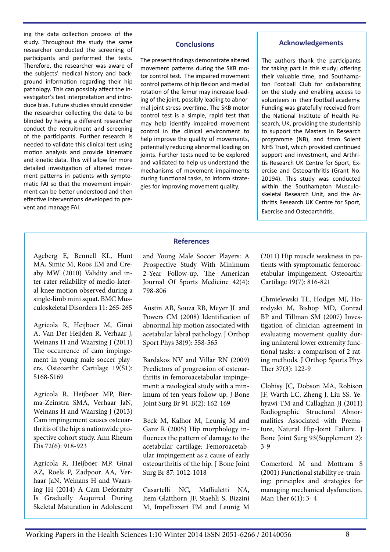ing the data collection process of the study. Throughout the study the same researcher conducted the screening of participants and performed the tests. Therefore, the researcher was aware of the subjects' medical history and background information regarding their hip pathology. This can possibly affect the investigator's test interpretation and introduce bias. Future studies should consider the researcher collecting the data to be blinded by having a different researcher conduct the recruitment and screening of the participants. Further research is needed to validate this clinical test using motion analysis and provide kinematic and kinetic data. This will allow for more detailed investigation of altered movement patterns in patients with symptomatic FAI so that the movement impairment can be better understood and then effective interventions developed to prevent and manage FAI.

# **Conclusions**

The present findings demonstrate altered movement patterns during the SKB motor control test. The impaired movement control patterns of hip flexion and medial rotation of the femur may increase loading of the joint, possibly leading to abnormal joint stress overtime. The SKB motor control test is a simple, rapid test that may help identify impaired movement control in the clinical environment to help improve the quality of movements, potentially reducing abnormal loading on joints. Further tests need to be explored and validated to help us understand the mechanisms of movement impairments during functional tasks, to inform strategies for improving movement quality.

## **Acknowledgements**

The authors thank the participants for taking part in this study; offering their valuable time, and Southampton Football Club for collaborating on the study and enabling access to volunteers in their football academy. Funding was gratefully received from the National Institute of Health Research, UK, providing the studentship to support the Masters in Research programme (NB), and from Solent NHS Trust, which provided continued support and investment, and Arthritis Research UK Centre for Sport, Exercise and Osteoarthritis (Grant No. 20194). This study was conducted within the Southampton Musculoskeletal Research Unit, and the Arthritis Research UK Centre for Sport, Exercise and Osteoarthritis.

Ageberg E, Bennell KL, Hunt MA, Simic M, Roos EM and Creaby MW (2010) Validity and inter-rater reliability of medio-lateral knee motion observed during a single-limb mini squat. BMC Musculoskeletal Disorders 11: 265-265

Agricola R, Heijboer M, Ginai A, Van Der Heijden R, Verhaar J, Weinans H and Waarsing J (2011) The occurrence of cam impingement in young male soccer players. Osteoarthr Cartilage 19(S1): S168-S169

Agricola R, Heijboer MP, Bierma-Zeinstra SMA, Verhaar JaN, Weinans H and Waarsing J (2013) Cam impingement causes osteoarthritis of the hip: a nationwide prospective cohort study. Ann Rheum Dis 72(6): 918-923

Agricola R, Heijboer MP, Ginai AZ, Roels P, Zadpoor AA, Verhaar JaN, Weinans H and Waarsing JH (2014) A Cam Deformity Is Gradually Acquired During Skeletal Maturation in Adolescent

# **References**

and Young Male Soccer Players: A Prospective Study With Minimum 2-Year Follow-up. The American Journal Of Sports Medicine 42(4): 798-806

Austin AB, Souza RB, Meyer JL and Powers CM (2008) Identification of abnormal hip motion associated with acetabular labral pathology. J Orthop Sport Phys 38(9): 558-565

Bardakos NV and Villar RN (2009) Predictors of progression of osteoarthritis in femoroacetabular impingement: a raiological study with a minimum of ten years follow-up. J Bone Joint Surg Br 91-B(2): 162-169

Beck M, Kalhor M, Leunig M and Ganz R (2005) Hip morphology influences the pattern of damage to the acetabular cartilage: Femoroacetabular impingement as a cause of early osteoarthritis of the hip. J Bone Joint Surg Br 87: 1012-1018

Casartelli NC, Maffiuletti NA, Item-Glatthorn JF, Staehli S, Bizzini M, Impellizzeri FM and Leunig M (2011) Hip muscle weakness in patients with symptomatic femoroacetabular impingement. Osteoarthr Cartilage 19(7): 816-821

Chmielewski TL, Hodges MJ, Horodyski M, Bishop MD, Conrad BP and Tillman SM (2007) Investigation of clinician agreement in evaluating movement quality during unilateral lower extremity functional tasks: a comparison of 2 rating methods. J Orthop Sports Phys Ther 37(3): 122-9

Clohisy JC, Dobson MA, Robison JF, Warth LC, Zheng J, Liu SS, Yehyawi TM and Callaghan JJ (2011) Radiographic Structural Abnormalities Associated with Premature, Natural Hip-Joint Failure. J Bone Joint Surg 93(Supplement 2): 3-9

Comerford M and Mottram S (2001) Functional stability re-training: principles and strategies for managing mechanical dysfunction. Man Ther 6(1): 3- 4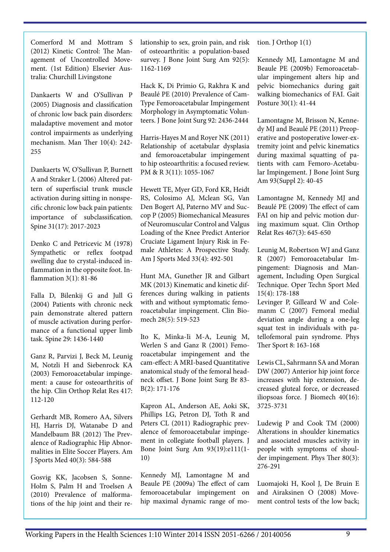Comerford M and Mottram S (2012) Kinetic Control: The Management of Uncontrolled Movement. (1st Edition) Elsevier Australia: Churchill Livingstone

Dankaerts W and O'Sullivan P (2005) Diagnosis and classification of chronic low back pain disorders: maladaptive movement and motor control impairments as underlying mechanism. Man Ther 10(4): 242- 255

Dankaerts W, O'Sullivan P, Burnett A and Straker L (2006) Altered pattern of superfiscial trunk muscle activation during sitting in nonspecific chronic low back pain patients: importance of subclassification. Spine 31(17): 2017-2023

Denko C and Petricevic M (1978) Sympathetic or reflex footpad swelling due to crystal-induced inflammation in the opposite foot. Inflammation 3(1): 81-86

Falla D, Bilenkij G and Jull G (2004) Patients with chronic neck pain demonstrate altered pattern of muscle activation during performance of a functional upper limb task. Spine 29: 1436-1440

Ganz R, Parvizi J, Beck M, Leunig M, Notzli H and Siebenrock KA (2003) Femoroacetabular impingement: a cause for osteoarthritis of the hip. Clin Orthop Relat Res 417: 112-120

Gerhardt MB, Romero AA, Silvers HJ, Harris DJ, Watanabe D and Mandelbaum BR (2012) The Prevalence of Radiographic Hip Abnormalities in Elite Soccer Players. Am J Sports Med 40(3): 584-588

Gosvig KK, Jacobsen S, Sonne-Holm S, Palm H and Troelsen A (2010) Prevalence of malformations of the hip joint and their relationship to sex, groin pain, and risk of osteoarthritis: a population-based survey. J Bone Joint Surg Am 92(5): 1162-1169

Hack K, Di Primio G, Rakhra K and Beaulé PE (2010) Prevalence of Cam-Type Femoroacetabular Impingement Morphology in Asymptomatic Volunteers. J Bone Joint Surg 92: 2436-2444

Harris-Hayes M and Royer NK (2011) Relationship of acetabular dysplasia and femoroacetabular impingement to hip osteoarthritis: a focused review. PM & R 3(11): 1055-1067

Hewett TE, Myer GD, Ford KR, Heidt RS, Colosimo AJ, Mclean SG, Van Den Bogert AJ, Paterno MV and Succop P (2005) Biomechanical Measures of Neuromuscular Control and Valgus Loading of the Knee Predict Anterior Cruciate Ligament Injury Risk in Female Athletes: A Prospective Study. Am J Sports Med 33(4): 492-501

Hunt MA, Gunether JR and Gilbart MK (2013) Kinematic and kinetic differences during walking in patients with and without symptomatic femoroacetabular impingement. Clin Biomech 28(5): 519-523

Ito K, Minka-Ii M-A, Leunig M, Werlen S and Ganz R (2001) Femoroacetabular impingement and the cam-effect: A MRI-based Quantitative anatomical study of the femoral headneck offset. J Bone Joint Surg Br 83- B(2): 171-176

Kapron AL, Anderson AE, Aoki SK, Phillips LG, Petron DJ, Toth R and Peters CL (2011) Radiographic prevalence of femoroacetabular impingement in collegiate football players. J Bone Joint Surg Am 93(19):e111(1- 10)

Kennedy MJ, Lamontagne M and Beaule PE (2009a) The effect of cam femoroacetabular impingement on hip maximal dynamic range of motion. J Orthop 1(1)

Kennedy MJ, Lamontagne M and Beaule PE (2009b) Femoroacetabular impingement alters hip and pelvic biomechanics during gait walking biomechanics of FAI. Gait Posture 30(1): 41-44

Lamontagne M, Brisson N, Kennedy MJ and Beaulé PE (2011) Preoperative and postoperative lower-extremity joint and pelvic kinematics during maximal squatting of patients with cam Femoro-Acetabular Impingement. J Bone Joint Surg Am 93(Suppl 2): 40-45

Lamontagne M, Kennedy MJ and Beaulé PE (2009) The effect of cam FAI on hip and pelvic motion during maximum squat. Clin Orthop Relat Res 467(3): 645-650

Leunig M, Robertson WJ and Ganz R (2007) Femoroacetabular Impingement: Diagnosis and Management, Including Open Surgical Technique. Oper Techn Sport Med 15(4): 178-188

Levinger P, Gilleard W and Colemanm C (2007) Femoral medial deviation angle during a one-leg squat test in individuals with patellofemoral pain syndrome. Phys Ther Sport 8: 163-168

Lewis CL, Sahrmann SA and Moran DW (2007) Anterior hip joint force increases with hip extension, decreased gluteal force, or decreased iliopsoas force. J Biomech 40(16): 3725-3731

Ludewig P and Cook TM (2000) Alterations in shoulder kinematics and associated muscles activity in people with symptoms of shoulder impingement. Phys Ther 80(3): 276-291

Luomajoki H, Kool J, De Bruin E and Airaksinen O (2008) Movement control tests of the low back;